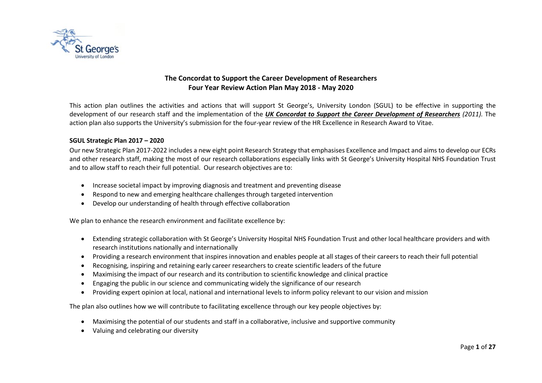

## **The Concordat to Support the Career Development of Researchers Four Year Review Action Plan May 2018 - May 2020**

This action plan outlines the activities and actions that will support St George's, University London (SGUL) to be effective in supporting the development of our research staff and the implementation of the *UK Concordat to Support the Career Development of Researchers (2011).* The action plan also supports the University's submission for the four-year review of the HR Excellence in Research Award to Vitae.

### **SGUL Strategic Plan 2017 – 2020**

Our new Strategic Plan 2017-2022 includes a new eight point Research Strategy that emphasises Excellence and Impact and aims to develop our ECRs and other research staff, making the most of our research collaborations especially links with St George's University Hospital NHS Foundation Trust and to allow staff to reach their full potential. Our research objectives are to:

- Increase societal impact by improving diagnosis and treatment and preventing disease
- Respond to new and emerging healthcare challenges through targeted intervention
- Develop our understanding of health through effective collaboration

We plan to enhance the research environment and facilitate excellence by:

- Extending strategic collaboration with St George's University Hospital NHS Foundation Trust and other local healthcare providers and with research institutions nationally and internationally
- Providing a research environment that inspires innovation and enables people at all stages of their careers to reach their full potential
- Recognising, inspiring and retaining early career researchers to create scientific leaders of the future
- Maximising the impact of our research and its contribution to scientific knowledge and clinical practice
- Engaging the public in our science and communicating widely the significance of our research
- Providing expert opinion at local, national and international levels to inform policy relevant to our vision and mission

The plan also outlines how we will contribute to facilitating excellence through our key people objectives by:

- Maximising the potential of our students and staff in a collaborative, inclusive and supportive community
- Valuing and celebrating our diversity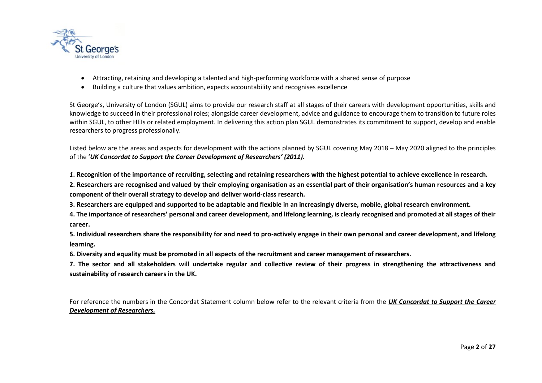

- Attracting, retaining and developing a talented and high-performing workforce with a shared sense of purpose
- Building a culture that values ambition, expects accountability and recognises excellence

St George's, University of London (SGUL) aims to provide our research staff at all stages of their careers with development opportunities, skills and knowledge to succeed in their professional roles; alongside career development, advice and guidance to encourage them to transition to future roles within SGUL, to other HEIs or related employment. In delivering this action plan SGUL demonstrates its commitment to support, develop and enable researchers to progress professionally.

Listed below are the areas and aspects for development with the actions planned by SGUL covering May 2018 – May 2020 aligned to the principles of the '*UK Concordat to Support the Career Development of Researchers' (2011).* 

*1***. Recognition of the importance of recruiting, selecting and retaining researchers with the highest potential to achieve excellence in research.**

**2. Researchers are recognised and valued by their employing organisation as an essential part of their organisation's human resources and a key component of their overall strategy to develop and deliver world-class research.**

**3. Researchers are equipped and supported to be adaptable and flexible in an increasingly diverse, mobile, global research environment.**

**4. The importance of researchers' personal and career development, and lifelong learning, is clearly recognised and promoted at all stages of their career.**

**5. Individual researchers share the responsibility for and need to pro-actively engage in their own personal and career development, and lifelong learning.**

**6. Diversity and equality must be promoted in all aspects of the recruitment and career management of researchers.**

**7. The sector and all stakeholders will undertake regular and collective review of their progress in strengthening the attractiveness and sustainability of research careers in the UK.**

For reference the numbers in the Concordat Statement column below refer to the relevant criteria from the *UK Concordat to Support the Career Development of Researchers.*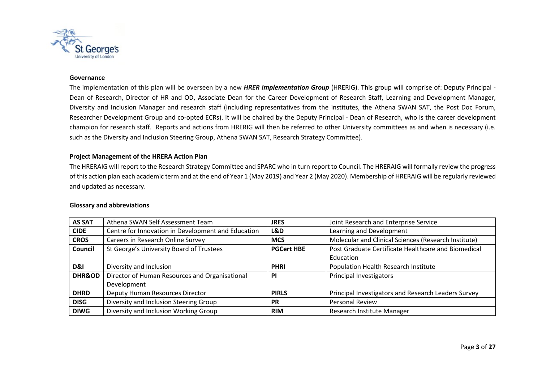

#### **Governance**

The implementation of this plan will be overseen by a new *HRER Implementation Group* (HRERIG). This group will comprise of: Deputy Principal - Dean of Research, Director of HR and OD, Associate Dean for the Career Development of Research Staff, Learning and Development Manager, Diversity and Inclusion Manager and research staff (including representatives from the institutes, the Athena SWAN SAT, the Post Doc Forum, Researcher Development Group and co-opted ECRs). It will be chaired by the Deputy Principal - Dean of Research, who is the career development champion for research staff. Reports and actions from HRERIG will then be referred to other University committees as and when is necessary (i.e. such as the Diversity and Inclusion Steering Group, Athena SWAN SAT, Research Strategy Committee).

## **Project Management of the HRERA Action Plan**

The HRERAIG will report to the Research Strategy Committee and SPARC who in turn report to Council. The HRERAIG will formally review the progress of this action plan each academic term and at the end of Year 1 (May 2019) and Year 2 (May 2020). Membership of HRERAIG will be regularly reviewed and updated as necessary.

#### **Glossary and abbreviations**

| <b>AS SAT</b>                                                            | Athena SWAN Self Assessment Team                   | <b>JRES</b>  | Joint Research and Enterprise Service                |
|--------------------------------------------------------------------------|----------------------------------------------------|--------------|------------------------------------------------------|
| <b>CIDE</b>                                                              | Centre for Innovation in Development and Education | L&D          | Learning and Development                             |
| <b>CROS</b>                                                              | Careers in Research Online Survey                  | <b>MCS</b>   | Molecular and Clinical Sciences (Research Institute) |
| St George's University Board of Trustees<br><b>PGCert HBE</b><br>Council |                                                    |              | Post Graduate Certificate Healthcare and Biomedical  |
|                                                                          |                                                    |              | Education                                            |
| D&I                                                                      | Diversity and Inclusion                            | <b>PHRI</b>  | Population Health Research Institute                 |
| <b>DHR&amp;OD</b>                                                        | Director of Human Resources and Organisational     | <b>PI</b>    | Principal Investigators                              |
|                                                                          | Development                                        |              |                                                      |
| <b>DHRD</b>                                                              | Deputy Human Resources Director                    | <b>PIRLS</b> | Principal Investigators and Research Leaders Survey  |
| <b>DISG</b>                                                              | Diversity and Inclusion Steering Group             | <b>PR</b>    | <b>Personal Review</b>                               |
| <b>DIWG</b>                                                              | Diversity and Inclusion Working Group              | <b>RIM</b>   | Research Institute Manager                           |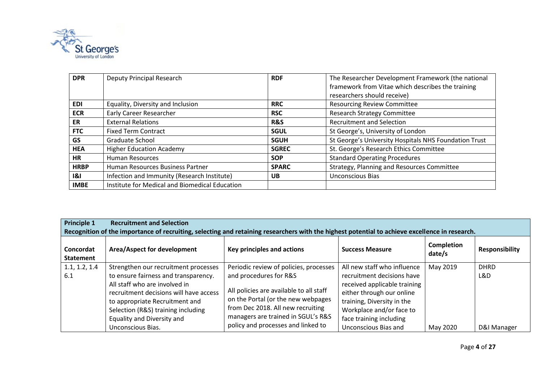

| <b>DPR</b>  | Deputy Principal Research                      | <b>RDF</b>   | The Researcher Development Framework (the national    |
|-------------|------------------------------------------------|--------------|-------------------------------------------------------|
|             |                                                |              | framework from Vitae which describes the training     |
|             |                                                |              | researchers should receive)                           |
| <b>EDI</b>  | Equality, Diversity and Inclusion              | <b>RRC</b>   | <b>Resourcing Review Committee</b>                    |
| <b>ECR</b>  | <b>Early Career Researcher</b>                 | <b>RSC</b>   | <b>Research Strategy Committee</b>                    |
| ER          | <b>External Relations</b>                      | R&S          | <b>Recruitment and Selection</b>                      |
| <b>FTC</b>  | <b>Fixed Term Contract</b>                     | <b>SGUL</b>  | St George's, University of London                     |
| GS          | Graduate School                                | <b>SGUH</b>  | St George's University Hospitals NHS Foundation Trust |
| <b>HEA</b>  | <b>Higher Education Academy</b>                | <b>SGREC</b> | St. George's Research Ethics Committee                |
| <b>HR</b>   | <b>Human Resources</b>                         | <b>SOP</b>   | <b>Standard Operating Procedures</b>                  |
| <b>HRBP</b> | Human Resources Business Partner               | <b>SPARC</b> | Strategy, Planning and Resources Committee            |
| 8           | Infection and Immunity (Research Institute)    | <b>UB</b>    | <b>Unconscious Bias</b>                               |
| <b>IMBE</b> | Institute for Medical and Biomedical Education |              |                                                       |

| <b>Principle 1</b>            | <b>Recruitment and Selection</b>                                                                                                                                                                                                                                                   |                                                                                                                                                                                                                                                                    |                                                                                                                                                                                                                                     |                      |                                   |  |  |  |
|-------------------------------|------------------------------------------------------------------------------------------------------------------------------------------------------------------------------------------------------------------------------------------------------------------------------------|--------------------------------------------------------------------------------------------------------------------------------------------------------------------------------------------------------------------------------------------------------------------|-------------------------------------------------------------------------------------------------------------------------------------------------------------------------------------------------------------------------------------|----------------------|-----------------------------------|--|--|--|
|                               | Recognition of the importance of recruiting, selecting and retaining researchers with the highest potential to achieve excellence in research.                                                                                                                                     |                                                                                                                                                                                                                                                                    |                                                                                                                                                                                                                                     |                      |                                   |  |  |  |
| Concordat<br><b>Statement</b> | Area/Aspect for development                                                                                                                                                                                                                                                        | Key principles and actions                                                                                                                                                                                                                                         | <b>Success Measure</b>                                                                                                                                                                                                              | Completion<br>date/s | <b>Responsibility</b>             |  |  |  |
| 1.1, 1.2, 1.4<br>6.1          | Strengthen our recruitment processes<br>to ensure fairness and transparency.<br>All staff who are involved in<br>recruitment decisions will have access<br>to appropriate Recruitment and<br>Selection (R&S) training including<br>Equality and Diversity and<br>Unconscious Bias. | Periodic review of policies, processes<br>and procedures for R&S<br>All policies are available to all staff<br>on the Portal (or the new webpages<br>from Dec 2018. All new recruiting<br>managers are trained in SGUL's R&S<br>policy and processes and linked to | All new staff who influence<br>recruitment decisions have<br>received applicable training<br>either through our online<br>training, Diversity in the<br>Workplace and/or face to<br>face training including<br>Unconscious Bias and | May 2019<br>May 2020 | <b>DHRD</b><br>L&D<br>D&I Manager |  |  |  |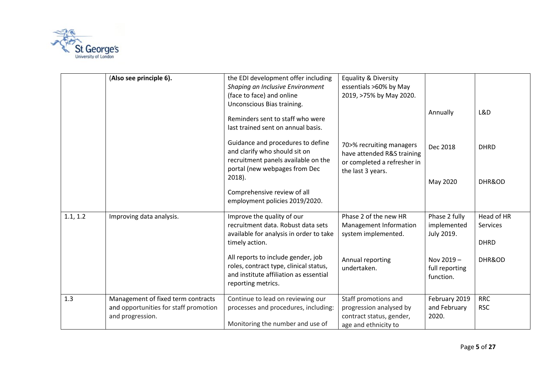

|          | (Also see principle 6).                                                                         | the EDI development offer including<br>Shaping an Inclusive Environment<br>(face to face) and online<br>Unconscious Bias training.<br>Reminders sent to staff who were<br>last trained sent on annual basis. | <b>Equality &amp; Diversity</b><br>essentials >60% by May<br>2019, >75% by May 2020.                       | Annually                                   | L&D                                          |
|----------|-------------------------------------------------------------------------------------------------|--------------------------------------------------------------------------------------------------------------------------------------------------------------------------------------------------------------|------------------------------------------------------------------------------------------------------------|--------------------------------------------|----------------------------------------------|
|          |                                                                                                 | Guidance and procedures to define<br>and clarify who should sit on<br>recruitment panels available on the<br>portal (new webpages from Dec<br>$2018$ ).                                                      | 70>% recruiting managers<br>have attended R&S training<br>or completed a refresher in<br>the last 3 years. | Dec 2018                                   | <b>DHRD</b>                                  |
|          |                                                                                                 | Comprehensive review of all<br>employment policies 2019/2020.                                                                                                                                                |                                                                                                            | May 2020                                   | DHR&OD                                       |
| 1.1, 1.2 | Improving data analysis.                                                                        | Improve the quality of our<br>recruitment data. Robust data sets<br>available for analysis in order to take<br>timely action.                                                                                | Phase 2 of the new HR<br>Management Information<br>system implemented.                                     | Phase 2 fully<br>implemented<br>July 2019. | Head of HR<br><b>Services</b><br><b>DHRD</b> |
|          |                                                                                                 | All reports to include gender, job<br>roles, contract type, clinical status,<br>and institute affiliation as essential<br>reporting metrics.                                                                 | Annual reporting<br>undertaken.                                                                            | Nov 2019-<br>full reporting<br>function.   | DHR&OD                                       |
| 1.3      | Management of fixed term contracts<br>and opportunities for staff promotion<br>and progression. | Continue to lead on reviewing our<br>processes and procedures, including:<br>Monitoring the number and use of                                                                                                | Staff promotions and<br>progression analysed by<br>contract status, gender,<br>age and ethnicity to        | February 2019<br>and February<br>2020.     | <b>RRC</b><br><b>RSC</b>                     |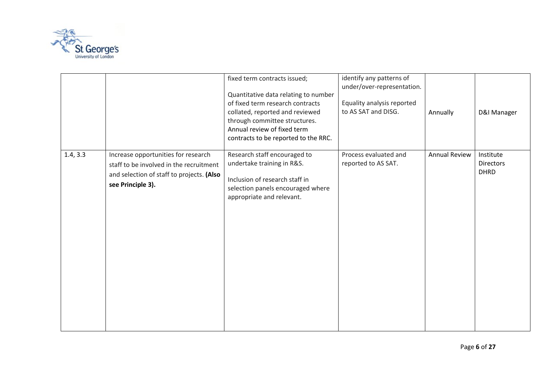

|          |                                                                                                                                                  | fixed term contracts issued;<br>Quantitative data relating to number<br>of fixed term research contracts<br>collated, reported and reviewed<br>through committee structures.<br>Annual review of fixed term<br>contracts to be reported to the RRC. | identify any patterns of<br>under/over-representation.<br>Equality analysis reported<br>to AS SAT and DISG. | Annually             | D&I Manager                                  |
|----------|--------------------------------------------------------------------------------------------------------------------------------------------------|-----------------------------------------------------------------------------------------------------------------------------------------------------------------------------------------------------------------------------------------------------|-------------------------------------------------------------------------------------------------------------|----------------------|----------------------------------------------|
| 1.4, 3.3 | Increase opportunities for research<br>staff to be involved in the recruitment<br>and selection of staff to projects. (Also<br>see Principle 3). | Research staff encouraged to<br>undertake training in R&S.<br>Inclusion of research staff in<br>selection panels encouraged where<br>appropriate and relevant.                                                                                      | Process evaluated and<br>reported to AS SAT.                                                                | <b>Annual Review</b> | Institute<br><b>Directors</b><br><b>DHRD</b> |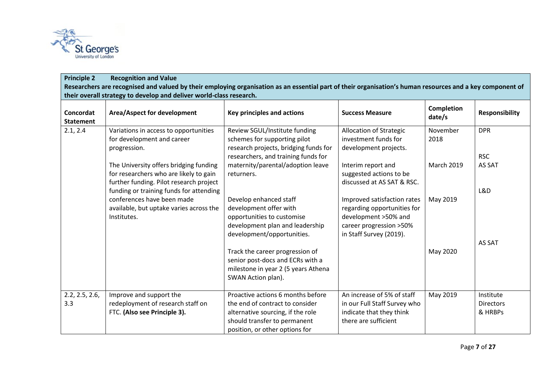

# **Principle 2 Recognition and Value Researchers are recognised and valued by their employing organisation as an essential part of their organisation's human resources and a key component of their overall strategy to develop and deliver world-class research.**

| Concordat<br><b>Statement</b> | Area/Aspect for development                                                                                                     | Key principles and actions                                                                                                                                                  | <b>Success Measure</b>                                                                                                                   | <b>Completion</b><br>date/s | <b>Responsibility</b>                    |
|-------------------------------|---------------------------------------------------------------------------------------------------------------------------------|-----------------------------------------------------------------------------------------------------------------------------------------------------------------------------|------------------------------------------------------------------------------------------------------------------------------------------|-----------------------------|------------------------------------------|
| 2.1, 2.4                      | Variations in access to opportunities<br>for development and career<br>progression.                                             | Review SGUL/Institute funding<br>schemes for supporting pilot<br>research projects, bridging funds for                                                                      | Allocation of Strategic<br>investment funds for<br>development projects.                                                                 | November<br>2018            | <b>DPR</b>                               |
|                               | The University offers bridging funding<br>for researchers who are likely to gain<br>further funding. Pilot research project     | researchers, and training funds for<br>maternity/parental/adoption leave<br>returners.                                                                                      | Interim report and<br>suggested actions to be<br>discussed at AS SAT & RSC.                                                              | <b>March 2019</b>           | <b>RSC</b><br>AS SAT                     |
|                               | funding or training funds for attending<br>conferences have been made<br>available, but uptake varies across the<br>Institutes. | Develop enhanced staff<br>development offer with<br>opportunities to customise<br>development plan and leadership<br>development/opportunities.                             | Improved satisfaction rates<br>regarding opportunities for<br>development >50% and<br>career progression >50%<br>in Staff Survey (2019). | May 2019                    | L&D<br>AS SAT                            |
|                               |                                                                                                                                 | Track the career progression of<br>senior post-docs and ECRs with a<br>milestone in year 2 (5 years Athena<br>SWAN Action plan).                                            |                                                                                                                                          | May 2020                    |                                          |
| 2.2, 2.5, 2.6,<br>3.3         | Improve and support the<br>redeployment of research staff on<br>FTC. (Also see Principle 3).                                    | Proactive actions 6 months before<br>the end of contract to consider<br>alternative sourcing, if the role<br>should transfer to permanent<br>position, or other options for | An increase of 5% of staff<br>in our Full Staff Survey who<br>indicate that they think<br>there are sufficient                           | May 2019                    | Institute<br><b>Directors</b><br>& HRBPs |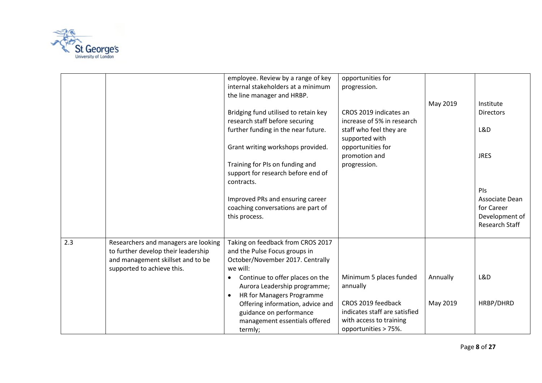

|     |                                                                                                                                                | employee. Review by a range of key<br>internal stakeholders at a minimum<br>the line manager and HRBP.<br>Bridging fund utilised to retain key<br>research staff before securing<br>further funding in the near future.<br>Grant writing workshops provided.<br>Training for PIs on funding and<br>support for research before end of<br>contracts.<br>Improved PRs and ensuring career | opportunities for<br>progression.<br>CROS 2019 indicates an<br>increase of 5% in research<br>staff who feel they are<br>supported with<br>opportunities for<br>promotion and<br>progression. | May 2019             | Institute<br><b>Directors</b><br>L&D<br><b>JRES</b><br>PIs<br>Associate Dean |
|-----|------------------------------------------------------------------------------------------------------------------------------------------------|-----------------------------------------------------------------------------------------------------------------------------------------------------------------------------------------------------------------------------------------------------------------------------------------------------------------------------------------------------------------------------------------|----------------------------------------------------------------------------------------------------------------------------------------------------------------------------------------------|----------------------|------------------------------------------------------------------------------|
|     |                                                                                                                                                | coaching conversations are part of<br>this process.                                                                                                                                                                                                                                                                                                                                     |                                                                                                                                                                                              |                      | for Career<br>Development of<br>Research Staff                               |
| 2.3 | Researchers and managers are looking<br>to further develop their leadership<br>and management skillset and to be<br>supported to achieve this. | Taking on feedback from CROS 2017<br>and the Pulse Focus groups in<br>October/November 2017. Centrally<br>we will:<br>Continue to offer places on the<br>$\bullet$<br>Aurora Leadership programme;<br><b>HR for Managers Programme</b><br>Offering information, advice and                                                                                                              | Minimum 5 places funded<br>annually<br>CROS 2019 feedback                                                                                                                                    | Annually<br>May 2019 | L&D<br>HRBP/DHRD                                                             |
|     |                                                                                                                                                | guidance on performance<br>management essentials offered<br>termly;                                                                                                                                                                                                                                                                                                                     | indicates staff are satisfied<br>with access to training<br>opportunities > 75%.                                                                                                             |                      |                                                                              |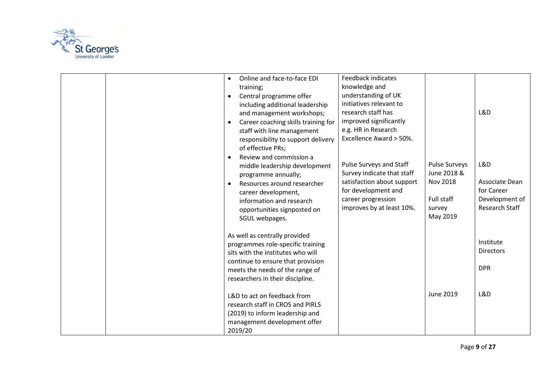

| Online and face-to-face EDI<br>training;<br>Central programme offer<br>including additional leadership<br>and management workshops;<br>Career coaching skills training for<br>staff with line management<br>responsibility to support delivery<br>of effective PRs; | <b>Feedback indicates</b><br>knowledge and<br>understanding of UK<br>initiatives relevant to<br>research staff has<br>improved significantly<br>e.g. HR in Research<br>Excellence Award > 50%. |                                                                                            | L&D                                                                            |
|---------------------------------------------------------------------------------------------------------------------------------------------------------------------------------------------------------------------------------------------------------------------|------------------------------------------------------------------------------------------------------------------------------------------------------------------------------------------------|--------------------------------------------------------------------------------------------|--------------------------------------------------------------------------------|
| Review and commission a<br>middle leadership development<br>programme annually;<br>Resources around researcher<br>career development,<br>information and research<br>opportunities signposted on<br>SGUL webpages.                                                  | Pulse Surveys and Staff<br>Survey indicate that staff<br>satisfaction about support<br>for development and<br>career progression<br>improves by at least 10%.                                  | <b>Pulse Surveys</b><br>June 2018 &<br><b>Nov 2018</b><br>Full staff<br>survey<br>May 2019 | L&D<br>Associate Dean<br>for Career<br>Development of<br><b>Research Staff</b> |
| As well as centrally provided<br>programmes role-specific training<br>sits with the institutes who will<br>continue to ensure that provision<br>meets the needs of the range of<br>researchers in their discipline.                                                 |                                                                                                                                                                                                |                                                                                            | Institute<br><b>Directors</b><br><b>DPR</b>                                    |
| L&D to act on feedback from<br>research staff in CROS and PIRLS<br>(2019) to inform leadership and<br>management development offer<br>2019/20                                                                                                                       |                                                                                                                                                                                                | June 2019                                                                                  | L&D                                                                            |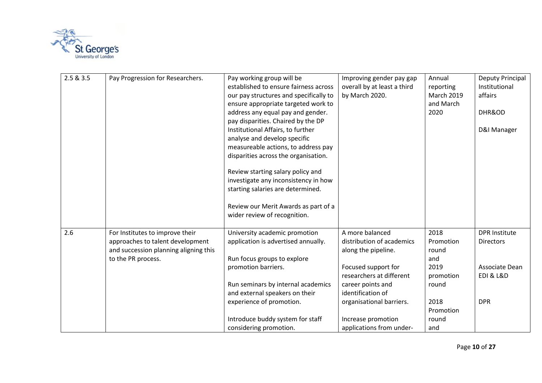

| 2.5 & 3.5 | Pay Progression for Researchers.                                                                                                   | Pay working group will be<br>established to ensure fairness across<br>our pay structures and specifically to<br>ensure appropriate targeted work to<br>address any equal pay and gender.<br>pay disparities. Chaired by the DP<br>Institutional Affairs, to further<br>analyse and develop specific<br>measureable actions, to address pay<br>disparities across the organisation.<br>Review starting salary policy and<br>investigate any inconsistency in how<br>starting salaries are determined.<br>Review our Merit Awards as part of a<br>wider review of recognition. | Improving gender pay gap<br>overall by at least a third<br>by March 2020.                                                                                                                                                                      | Annual<br>reporting<br><b>March 2019</b><br>and March<br>2020                                        | Deputy Principal<br>Institutional<br>affairs<br>DHR&OD<br>D&I Manager                                |
|-----------|------------------------------------------------------------------------------------------------------------------------------------|------------------------------------------------------------------------------------------------------------------------------------------------------------------------------------------------------------------------------------------------------------------------------------------------------------------------------------------------------------------------------------------------------------------------------------------------------------------------------------------------------------------------------------------------------------------------------|------------------------------------------------------------------------------------------------------------------------------------------------------------------------------------------------------------------------------------------------|------------------------------------------------------------------------------------------------------|------------------------------------------------------------------------------------------------------|
| 2.6       | For Institutes to improve their<br>approaches to talent development<br>and succession planning aligning this<br>to the PR process. | University academic promotion<br>application is advertised annually.<br>Run focus groups to explore<br>promotion barriers.<br>Run seminars by internal academics<br>and external speakers on their<br>experience of promotion.<br>Introduce buddy system for staff<br>considering promotion.                                                                                                                                                                                                                                                                                 | A more balanced<br>distribution of academics<br>along the pipeline.<br>Focused support for<br>researchers at different<br>career points and<br>identification of<br>organisational barriers.<br>Increase promotion<br>applications from under- | 2018<br>Promotion<br>round<br>and<br>2019<br>promotion<br>round<br>2018<br>Promotion<br>round<br>and | <b>DPR Institute</b><br><b>Directors</b><br>Associate Dean<br><b>EDI &amp; L&amp;D</b><br><b>DPR</b> |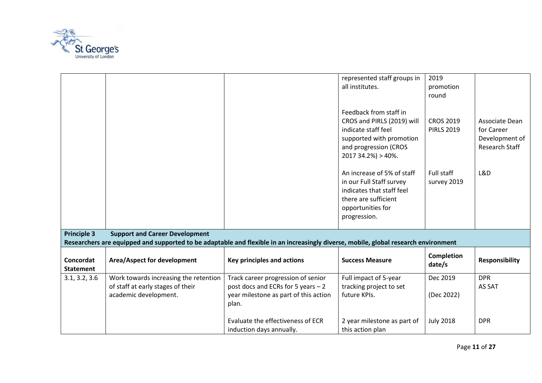

|                               |                                                                                                                                     |                                                                                                                            | represented staff groups in<br>all institutes.                                                                                                             | 2019<br>promotion<br>round            |                                                                  |
|-------------------------------|-------------------------------------------------------------------------------------------------------------------------------------|----------------------------------------------------------------------------------------------------------------------------|------------------------------------------------------------------------------------------------------------------------------------------------------------|---------------------------------------|------------------------------------------------------------------|
|                               |                                                                                                                                     |                                                                                                                            | Feedback from staff in<br>CROS and PIRLS (2019) will<br>indicate staff feel<br>supported with promotion<br>and progression (CROS<br>$201734.2\%) > 40\%$ . | <b>CROS 2019</b><br><b>PIRLS 2019</b> | Associate Dean<br>for Career<br>Development of<br>Research Staff |
|                               |                                                                                                                                     |                                                                                                                            | An increase of 5% of staff<br>in our Full Staff survey<br>indicates that staff feel<br>there are sufficient<br>opportunities for<br>progression.           | Full staff<br>survey 2019             | L&D                                                              |
| <b>Principle 3</b>            | <b>Support and Career Development</b>                                                                                               |                                                                                                                            |                                                                                                                                                            |                                       |                                                                  |
|                               | Researchers are equipped and supported to be adaptable and flexible in an increasingly diverse, mobile, global research environment |                                                                                                                            |                                                                                                                                                            |                                       |                                                                  |
| Concordat<br><b>Statement</b> | Area/Aspect for development                                                                                                         | Key principles and actions                                                                                                 | <b>Success Measure</b>                                                                                                                                     | <b>Completion</b><br>date/s           | <b>Responsibility</b>                                            |
| 3.1, 3.2, 3.6                 | Work towards increasing the retention<br>of staff at early stages of their<br>academic development.                                 | Track career progression of senior<br>post docs and ECRs for 5 years - 2<br>year milestone as part of this action<br>plan. | Full impact of 5-year<br>tracking project to set<br>future KPIs.                                                                                           | Dec 2019<br>(Dec 2022)                | <b>DPR</b><br>AS SAT                                             |
|                               |                                                                                                                                     | Evaluate the effectiveness of ECR<br>induction days annually.                                                              | 2 year milestone as part of<br>this action plan                                                                                                            | <b>July 2018</b>                      | <b>DPR</b>                                                       |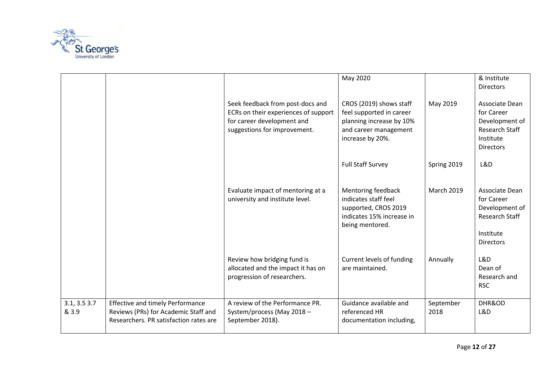

|                      |                                                                                                                           |                                                                                                                                        | May 2020                                                                                                                     |                   | & Institute<br><b>Directors</b>                                                                          |
|----------------------|---------------------------------------------------------------------------------------------------------------------------|----------------------------------------------------------------------------------------------------------------------------------------|------------------------------------------------------------------------------------------------------------------------------|-------------------|----------------------------------------------------------------------------------------------------------|
|                      |                                                                                                                           | Seek feedback from post-docs and<br>ECRs on their experiences of support<br>for career development and<br>suggestions for improvement. | CROS (2019) shows staff<br>feel supported in career<br>planning increase by 10%<br>and career management<br>increase by 20%. | May 2019          | Associate Dean<br>for Career<br>Development of<br><b>Research Staff</b><br>Institute<br><b>Directors</b> |
|                      |                                                                                                                           |                                                                                                                                        | <b>Full Staff Survey</b>                                                                                                     | Spring 2019       | L&D                                                                                                      |
|                      |                                                                                                                           | Evaluate impact of mentoring at a<br>university and institute level.                                                                   | Mentoring feedback<br>indicates staff feel<br>supported, CROS 2019<br>indicates 15% increase in<br>being mentored.           | <b>March 2019</b> | Associate Dean<br>for Career<br>Development of<br><b>Research Staff</b><br>Institute<br><b>Directors</b> |
|                      |                                                                                                                           | Review how bridging fund is<br>allocated and the impact it has on<br>progression of researchers.                                       | Current levels of funding<br>are maintained.                                                                                 | Annually          | L&D<br>Dean of<br>Research and<br><b>RSC</b>                                                             |
| 3.1, 3.53.7<br>& 3.9 | <b>Effective and timely Performance</b><br>Reviews (PRs) for Academic Staff and<br>Researchers. PR satisfaction rates are | A review of the Performance PR.<br>System/process (May 2018 -<br>September 2018).                                                      | Guidance available and<br>referenced HR<br>documentation including,                                                          | September<br>2018 | DHR&OD<br>L&D                                                                                            |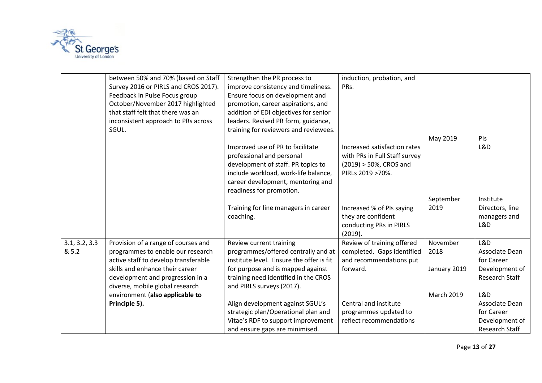

|                        | between 50% and 70% (based on Staff<br>Survey 2016 or PIRLS and CROS 2017).<br>Feedback in Pulse Focus group<br>October/November 2017 highlighted<br>that staff felt that there was an<br>inconsistent approach to PRs across | Strengthen the PR process to<br>improve consistency and timeliness.<br>Ensure focus on development and<br>promotion, career aspirations, and<br>addition of EDI objectives for senior<br>leaders. Revised PR form, guidance, | induction, probation, and<br>PRs.                                                               |                                  |                                                                         |
|------------------------|-------------------------------------------------------------------------------------------------------------------------------------------------------------------------------------------------------------------------------|------------------------------------------------------------------------------------------------------------------------------------------------------------------------------------------------------------------------------|-------------------------------------------------------------------------------------------------|----------------------------------|-------------------------------------------------------------------------|
|                        | SGUL.                                                                                                                                                                                                                         | training for reviewers and reviewees.<br>Improved use of PR to facilitate                                                                                                                                                    | Increased satisfaction rates                                                                    | May 2019                         | PIs<br>L&D                                                              |
|                        |                                                                                                                                                                                                                               | professional and personal<br>development of staff. PR topics to<br>include workload, work-life balance,<br>career development, mentoring and<br>readiness for promotion.                                                     | with PRs in Full Staff survey<br>(2019) > 50%, CROS and<br>PIRLs 2019 >70%.                     |                                  |                                                                         |
|                        |                                                                                                                                                                                                                               | Training for line managers in career<br>coaching.                                                                                                                                                                            | Increased % of PIs saying<br>they are confident<br>conducting PRs in PIRLS<br>(2019).           | September<br>2019                | Institute<br>Directors, line<br>managers and<br>L&D                     |
| 3.1, 3.2, 3.3<br>& 5.2 | Provision of a range of courses and<br>programmes to enable our research<br>active staff to develop transferable<br>skills and enhance their career<br>development and progression in a<br>diverse, mobile global research    | Review current training<br>programmes/offered centrally and at<br>institute level. Ensure the offer is fit<br>for purpose and is mapped against<br>training need identified in the CROS<br>and PIRLS surveys (2017).         | Review of training offered<br>completed. Gaps identified<br>and recommendations put<br>forward. | November<br>2018<br>January 2019 | L&D<br>Associate Dean<br>for Career<br>Development of<br>Research Staff |
|                        | environment (also applicable to<br>Principle 5).                                                                                                                                                                              | Align development against SGUL's<br>strategic plan/Operational plan and<br>Vitae's RDF to support improvement<br>and ensure gaps are minimised.                                                                              | Central and institute<br>programmes updated to<br>reflect recommendations                       | <b>March 2019</b>                | L&D<br>Associate Dean<br>for Career<br>Development of<br>Research Staff |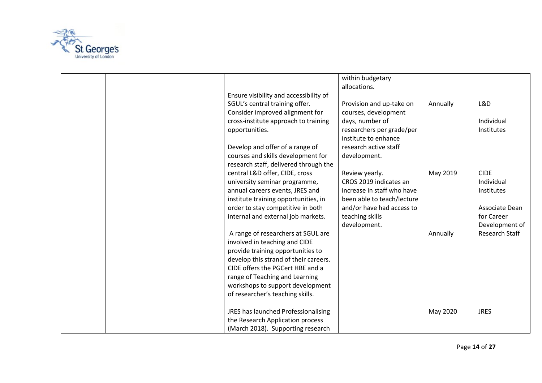

| within budgetary                                                       |                   |
|------------------------------------------------------------------------|-------------------|
| allocations.                                                           |                   |
| Ensure visibility and accessibility of                                 |                   |
| SGUL's central training offer.<br>Provision and up-take on<br>Annually | L&D               |
| Consider improved alignment for<br>courses, development                |                   |
| cross-institute approach to training<br>days, number of                | Individual        |
| researchers per grade/per<br>opportunities.                            | Institutes        |
| institute to enhance                                                   |                   |
| Develop and offer of a range of<br>research active staff               |                   |
| courses and skills development for<br>development.                     |                   |
| research staff, delivered through the                                  |                   |
| central L&D offer, CIDE, cross<br>Review yearly.<br>May 2019           | <b>CIDE</b>       |
| university seminar programme,<br>CROS 2019 indicates an                | Individual        |
| annual careers events, JRES and<br>increase in staff who have          | <b>Institutes</b> |
| been able to teach/lecture<br>institute training opportunities, in     |                   |
| order to stay competitive in both<br>and/or have had access to         | Associate Dean    |
| internal and external job markets.<br>teaching skills                  | for Career        |
| development.                                                           | Development of    |
| A range of researchers at SGUL are<br>Annually                         | Research Staff    |
| involved in teaching and CIDE                                          |                   |
| provide training opportunities to                                      |                   |
| develop this strand of their careers.                                  |                   |
| CIDE offers the PGCert HBE and a                                       |                   |
| range of Teaching and Learning                                         |                   |
| workshops to support development                                       |                   |
| of researcher's teaching skills.                                       |                   |
|                                                                        |                   |
| JRES has launched Professionalising<br>May 2020                        | <b>JRES</b>       |
| the Research Application process                                       |                   |
| (March 2018). Supporting research                                      |                   |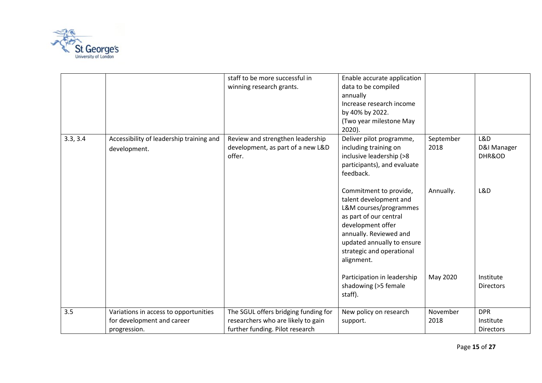

|          |                                                                                     | staff to be more successful in<br>winning research grants.                                                    | Enable accurate application<br>data to be compiled<br>annually<br>Increase research income<br>by 40% by 2022.<br>(Two year milestone May<br>$2020$ ).                                                                        |                   |                                      |
|----------|-------------------------------------------------------------------------------------|---------------------------------------------------------------------------------------------------------------|------------------------------------------------------------------------------------------------------------------------------------------------------------------------------------------------------------------------------|-------------------|--------------------------------------|
| 3.3, 3.4 | Accessibility of leadership training and<br>development.                            | Review and strengthen leadership<br>development, as part of a new L&D<br>offer.                               | Deliver pilot programme,<br>including training on<br>inclusive leadership (>8<br>participants), and evaluate<br>feedback.                                                                                                    | September<br>2018 | L&D<br>D&I Manager<br>DHR&OD         |
|          |                                                                                     |                                                                                                               | Commitment to provide,<br>talent development and<br>L&M courses/programmes<br>as part of our central<br>development offer<br>annually. Reviewed and<br>updated annually to ensure<br>strategic and operational<br>alignment. | Annually.         | L&D                                  |
|          |                                                                                     |                                                                                                               | Participation in leadership<br>shadowing (>5 female<br>staff).                                                                                                                                                               | May 2020          | Institute<br><b>Directors</b>        |
| 3.5      | Variations in access to opportunities<br>for development and career<br>progression. | The SGUL offers bridging funding for<br>researchers who are likely to gain<br>further funding. Pilot research | New policy on research<br>support.                                                                                                                                                                                           | November<br>2018  | <b>DPR</b><br>Institute<br>Directors |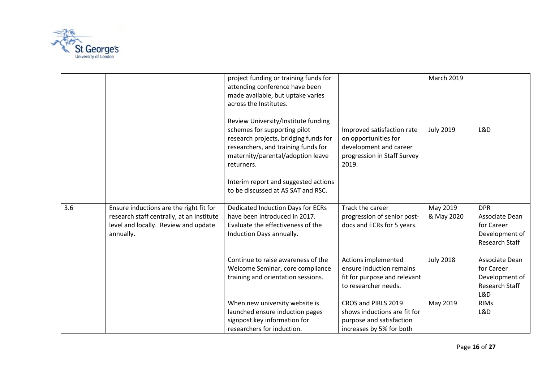

|     |                                                                                                                                           | project funding or training funds for<br>attending conference have been<br>made available, but uptake varies<br>across the Institutes.<br>Review University/Institute funding<br>schemes for supporting pilot<br>research projects, bridging funds for<br>researchers, and training funds for<br>maternity/parental/adoption leave<br>returners.<br>Interim report and suggested actions | Improved satisfaction rate<br>on opportunities for<br>development and career<br>progression in Staff Survey<br>2019. | <b>March 2019</b><br><b>July 2019</b> | L&D                                                                            |
|-----|-------------------------------------------------------------------------------------------------------------------------------------------|------------------------------------------------------------------------------------------------------------------------------------------------------------------------------------------------------------------------------------------------------------------------------------------------------------------------------------------------------------------------------------------|----------------------------------------------------------------------------------------------------------------------|---------------------------------------|--------------------------------------------------------------------------------|
|     |                                                                                                                                           | to be discussed at AS SAT and RSC.                                                                                                                                                                                                                                                                                                                                                       |                                                                                                                      |                                       |                                                                                |
| 3.6 | Ensure inductions are the right fit for<br>research staff centrally, at an institute<br>level and locally. Review and update<br>annually. | Dedicated Induction Days for ECRs<br>have been introduced in 2017.<br>Evaluate the effectiveness of the<br>Induction Days annually.                                                                                                                                                                                                                                                      | Track the career<br>progression of senior post-<br>docs and ECRs for 5 years.                                        | May 2019<br>& May 2020                | <b>DPR</b><br>Associate Dean<br>for Career<br>Development of<br>Research Staff |
|     |                                                                                                                                           | Continue to raise awareness of the<br>Welcome Seminar, core compliance<br>training and orientation sessions.                                                                                                                                                                                                                                                                             | Actions implemented<br>ensure induction remains<br>fit for purpose and relevant<br>to researcher needs.              | <b>July 2018</b>                      | Associate Dean<br>for Career<br>Development of<br>Research Staff<br>L&D        |
|     |                                                                                                                                           | When new university website is<br>launched ensure induction pages<br>signpost key information for<br>researchers for induction.                                                                                                                                                                                                                                                          | CROS and PIRLS 2019<br>shows inductions are fit for<br>purpose and satisfaction<br>increases by 5% for both          | May 2019                              | <b>RIMs</b><br>L&D                                                             |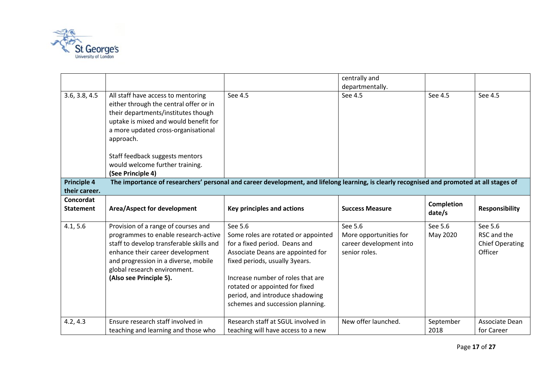

|                                     |                                                                                                                                                                                                                                                                |                                                                                                                                                                                                                                                                                                      | centrally and<br>departmentally.                                              |                     |                                                             |
|-------------------------------------|----------------------------------------------------------------------------------------------------------------------------------------------------------------------------------------------------------------------------------------------------------------|------------------------------------------------------------------------------------------------------------------------------------------------------------------------------------------------------------------------------------------------------------------------------------------------------|-------------------------------------------------------------------------------|---------------------|-------------------------------------------------------------|
| 3.6, 3.8, 4.5                       | All staff have access to mentoring<br>either through the central offer or in<br>their departments/institutes though<br>uptake is mixed and would benefit for<br>a more updated cross-organisational<br>approach.                                               | See 4.5                                                                                                                                                                                                                                                                                              | See 4.5                                                                       | See 4.5             | See 4.5                                                     |
|                                     | Staff feedback suggests mentors<br>would welcome further training.<br>(See Principle 4)                                                                                                                                                                        |                                                                                                                                                                                                                                                                                                      |                                                                               |                     |                                                             |
| <b>Principle 4</b><br>their career. | The importance of researchers' personal and career development, and lifelong learning, is clearly recognised and promoted at all stages of                                                                                                                     |                                                                                                                                                                                                                                                                                                      |                                                                               |                     |                                                             |
| Concordat                           |                                                                                                                                                                                                                                                                |                                                                                                                                                                                                                                                                                                      |                                                                               | <b>Completion</b>   |                                                             |
| <b>Statement</b>                    | Area/Aspect for development                                                                                                                                                                                                                                    | <b>Key principles and actions</b>                                                                                                                                                                                                                                                                    | <b>Success Measure</b>                                                        |                     | <b>Responsibility</b>                                       |
|                                     |                                                                                                                                                                                                                                                                |                                                                                                                                                                                                                                                                                                      |                                                                               | date/s              |                                                             |
| 4.1, 5.6                            | Provision of a range of courses and<br>programmes to enable research-active<br>staff to develop transferable skills and<br>enhance their career development<br>and progression in a diverse, mobile<br>global research environment.<br>(Also see Principle 5). | See 5.6<br>Some roles are rotated or appointed<br>for a fixed period. Deans and<br>Associate Deans are appointed for<br>fixed periods, usually 3years.<br>Increase number of roles that are<br>rotated or appointed for fixed<br>period, and introduce shadowing<br>schemes and succession planning. | See 5.6<br>More opportunities for<br>career development into<br>senior roles. | See 5.6<br>May 2020 | See 5.6<br>RSC and the<br><b>Chief Operating</b><br>Officer |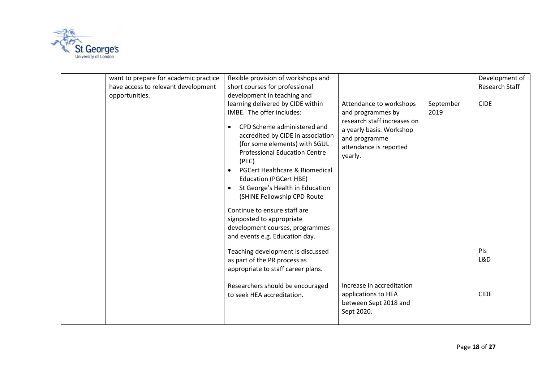

| want to prepare for academic practice<br>have access to relevant development<br>opportunities. | flexible provision of workshops and<br>short courses for professional<br>development in teaching and<br>learning delivered by CIDE within<br>IMBE. The offer includes:<br>CPD Scheme administered and<br>accredited by CIDE in association<br>(for some elements) with SGUL<br><b>Professional Education Centre</b><br>(PEC)<br>PGCert Healthcare & Biomedical<br>$\bullet$<br><b>Education (PGCert HBE)</b><br>St George's Health in Education<br>(SHINE Fellowship CPD Route<br>Continue to ensure staff are<br>signposted to appropriate<br>development courses, programmes<br>and events e.g. Education day.<br>Teaching development is discussed<br>as part of the PR process as<br>appropriate to staff career plans. | Attendance to workshops<br>and programmes by<br>research staff increases on<br>a yearly basis. Workshop<br>and programme<br>attendance is reported<br>yearly. | September<br>2019 | Development of<br>Research Staff<br><b>CIDE</b><br>PIs<br>L&D |
|------------------------------------------------------------------------------------------------|-----------------------------------------------------------------------------------------------------------------------------------------------------------------------------------------------------------------------------------------------------------------------------------------------------------------------------------------------------------------------------------------------------------------------------------------------------------------------------------------------------------------------------------------------------------------------------------------------------------------------------------------------------------------------------------------------------------------------------|---------------------------------------------------------------------------------------------------------------------------------------------------------------|-------------------|---------------------------------------------------------------|
|                                                                                                | Researchers should be encouraged<br>to seek HEA accreditation.                                                                                                                                                                                                                                                                                                                                                                                                                                                                                                                                                                                                                                                              | Increase in accreditation<br>applications to HEA<br>between Sept 2018 and<br>Sept 2020.                                                                       |                   | <b>CIDE</b>                                                   |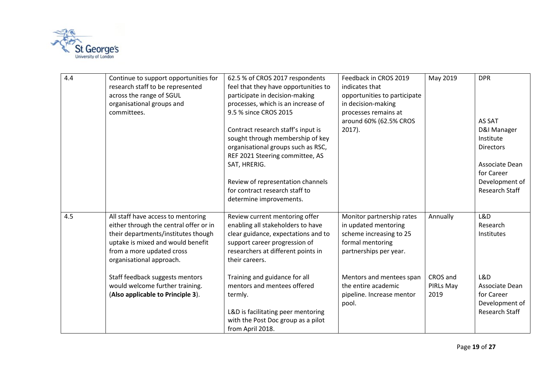

| 4.4 | Continue to support opportunities for<br>research staff to be represented<br>across the range of SGUL<br>organisational groups and<br>committees.                                                                 | 62.5 % of CROS 2017 respondents<br>feel that they have opportunities to<br>participate in decision-making<br>processes, which is an increase of<br>9.5 % since CROS 2015<br>Contract research staff's input is<br>sought through membership of key<br>organisational groups such as RSC,<br>REF 2021 Steering committee, AS<br>SAT, HRERIG.<br>Review of representation channels<br>for contract research staff to<br>determine improvements. | Feedback in CROS 2019<br>indicates that<br>opportunities to participate<br>in decision-making<br>processes remains at<br>around 60% (62.5% CROS<br>$2017$ ). | May 2019                      | <b>DPR</b><br>AS SAT<br>D&I Manager<br>Institute<br><b>Directors</b><br>Associate Dean<br>for Career<br>Development of<br>Research Staff |
|-----|-------------------------------------------------------------------------------------------------------------------------------------------------------------------------------------------------------------------|-----------------------------------------------------------------------------------------------------------------------------------------------------------------------------------------------------------------------------------------------------------------------------------------------------------------------------------------------------------------------------------------------------------------------------------------------|--------------------------------------------------------------------------------------------------------------------------------------------------------------|-------------------------------|------------------------------------------------------------------------------------------------------------------------------------------|
| 4.5 | All staff have access to mentoring<br>either through the central offer or in<br>their departments/institutes though<br>uptake is mixed and would benefit<br>from a more updated cross<br>organisational approach. | Review current mentoring offer<br>enabling all stakeholders to have<br>clear guidance, expectations and to<br>support career progression of<br>researchers at different points in<br>their careers.                                                                                                                                                                                                                                           | Monitor partnership rates<br>in updated mentoring<br>scheme increasing to 25<br>formal mentoring<br>partnerships per year.                                   | Annually                      | L&D<br>Research<br><b>Institutes</b>                                                                                                     |
|     | Staff feedback suggests mentors<br>would welcome further training.<br>(Also applicable to Principle 3).                                                                                                           | Training and guidance for all<br>mentors and mentees offered<br>termly.<br>L&D is facilitating peer mentoring<br>with the Post Doc group as a pilot<br>from April 2018.                                                                                                                                                                                                                                                                       | Mentors and mentees span<br>the entire academic<br>pipeline. Increase mentor<br>pool.                                                                        | CROS and<br>PIRLs May<br>2019 | L&D<br>Associate Dean<br>for Career<br>Development of<br>Research Staff                                                                  |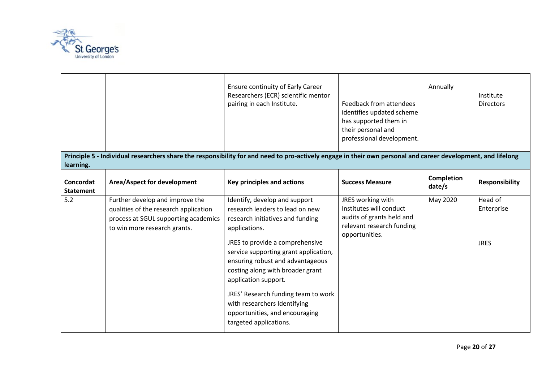

|                               |                                                                                                                                                              | <b>Ensure continuity of Early Career</b><br>Researchers (ECR) scientific mentor<br>pairing in each Institute.                                                                                                                                                                                                                                                                                                                        | Feedback from attendees<br>identifies updated scheme<br>has supported them in<br>their personal and<br>professional development. | Annually                    | Institute<br><b>Directors</b>        |
|-------------------------------|--------------------------------------------------------------------------------------------------------------------------------------------------------------|--------------------------------------------------------------------------------------------------------------------------------------------------------------------------------------------------------------------------------------------------------------------------------------------------------------------------------------------------------------------------------------------------------------------------------------|----------------------------------------------------------------------------------------------------------------------------------|-----------------------------|--------------------------------------|
| learning.                     | Principle 5 - Individual researchers share the responsibility for and need to pro-actively engage in their own personal and career development, and lifelong |                                                                                                                                                                                                                                                                                                                                                                                                                                      |                                                                                                                                  |                             |                                      |
| Concordat<br><b>Statement</b> | Area/Aspect for development                                                                                                                                  | Key principles and actions                                                                                                                                                                                                                                                                                                                                                                                                           | <b>Success Measure</b>                                                                                                           | <b>Completion</b><br>date/s | <b>Responsibility</b>                |
| 5.2                           | Further develop and improve the<br>qualities of the research application<br>process at SGUL supporting academics<br>to win more research grants.             | Identify, develop and support<br>research leaders to lead on new<br>research initiatives and funding<br>applications.<br>JRES to provide a comprehensive<br>service supporting grant application,<br>ensuring robust and advantageous<br>costing along with broader grant<br>application support.<br>JRES' Research funding team to work<br>with researchers Identifying<br>opportunities, and encouraging<br>targeted applications. | JRES working with<br>Institutes will conduct<br>audits of grants held and<br>relevant research funding<br>opportunities.         | May 2020                    | Head of<br>Enterprise<br><b>JRES</b> |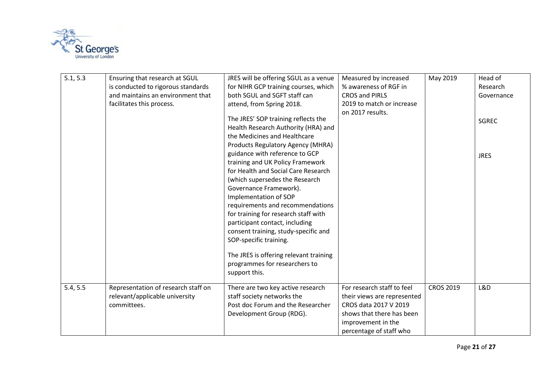

| 5.1, 5.3 | Ensuring that research at SGUL      | JRES will be offering SGUL as a venue  | Measured by increased       | May 2019         | Head of      |
|----------|-------------------------------------|----------------------------------------|-----------------------------|------------------|--------------|
|          | is conducted to rigorous standards  | for NIHR GCP training courses, which   | % awareness of RGF in       |                  | Research     |
|          | and maintains an environment that   | both SGUL and SGFT staff can           | <b>CROS and PIRLS</b>       |                  | Governance   |
|          | facilitates this process.           | attend, from Spring 2018.              | 2019 to match or increase   |                  |              |
|          |                                     |                                        | on 2017 results.            |                  |              |
|          |                                     | The JRES' SOP training reflects the    |                             |                  | <b>SGREC</b> |
|          |                                     | Health Research Authority (HRA) and    |                             |                  |              |
|          |                                     | the Medicines and Healthcare           |                             |                  |              |
|          |                                     | Products Regulatory Agency (MHRA)      |                             |                  |              |
|          |                                     | guidance with reference to GCP         |                             |                  | <b>JRES</b>  |
|          |                                     | training and UK Policy Framework       |                             |                  |              |
|          |                                     | for Health and Social Care Research    |                             |                  |              |
|          |                                     | (which supersedes the Research         |                             |                  |              |
|          |                                     | Governance Framework).                 |                             |                  |              |
|          |                                     | Implementation of SOP                  |                             |                  |              |
|          |                                     | requirements and recommendations       |                             |                  |              |
|          |                                     | for training for research staff with   |                             |                  |              |
|          |                                     | participant contact, including         |                             |                  |              |
|          |                                     | consent training, study-specific and   |                             |                  |              |
|          |                                     | SOP-specific training.                 |                             |                  |              |
|          |                                     | The JRES is offering relevant training |                             |                  |              |
|          |                                     | programmes for researchers to          |                             |                  |              |
|          |                                     | support this.                          |                             |                  |              |
|          |                                     |                                        |                             |                  |              |
| 5.4, 5.5 | Representation of research staff on | There are two key active research      | For research staff to feel  | <b>CROS 2019</b> | L&D          |
|          | relevant/applicable university      | staff society networks the             | their views are represented |                  |              |
|          | committees.                         | Post doc Forum and the Researcher      | CROS data 2017 V 2019       |                  |              |
|          |                                     | Development Group (RDG).               | shows that there has been   |                  |              |
|          |                                     |                                        | improvement in the          |                  |              |
|          |                                     |                                        | percentage of staff who     |                  |              |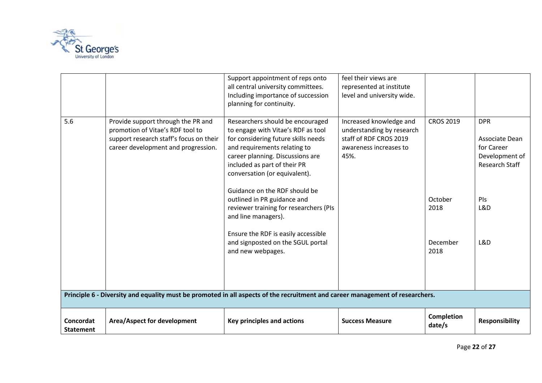

| Concordat<br><b>Statement</b> | Area/Aspect for development                                                                                                                              | Key principles and actions                                                                                                                                                                                        | <b>Success Measure</b>                                                                                           | Completion<br>date/s | <b>Responsibility</b>                                                          |
|-------------------------------|----------------------------------------------------------------------------------------------------------------------------------------------------------|-------------------------------------------------------------------------------------------------------------------------------------------------------------------------------------------------------------------|------------------------------------------------------------------------------------------------------------------|----------------------|--------------------------------------------------------------------------------|
|                               | Principle 6 - Diversity and equality must be promoted in all aspects of the recruitment and career management of researchers.                            |                                                                                                                                                                                                                   |                                                                                                                  |                      |                                                                                |
|                               |                                                                                                                                                          | and line managers).<br>Ensure the RDF is easily accessible<br>and signposted on the SGUL portal<br>and new webpages.                                                                                              |                                                                                                                  | December<br>2018     | L&D                                                                            |
|                               |                                                                                                                                                          | conversation (or equivalent).<br>Guidance on the RDF should be<br>outlined in PR guidance and<br>reviewer training for researchers (PIs                                                                           |                                                                                                                  | October<br>2018      | PIs<br>L&D                                                                     |
| 5.6                           | Provide support through the PR and<br>promotion of Vitae's RDF tool to<br>support research staff's focus on their<br>career development and progression. | Researchers should be encouraged<br>to engage with Vitae's RDF as tool<br>for considering future skills needs<br>and requirements relating to<br>career planning. Discussions are<br>included as part of their PR | Increased knowledge and<br>understanding by research<br>staff of RDF CROS 2019<br>awareness increases to<br>45%. | <b>CROS 2019</b>     | <b>DPR</b><br>Associate Dean<br>for Career<br>Development of<br>Research Staff |
|                               |                                                                                                                                                          | Support appointment of reps onto<br>all central university committees.<br>Including importance of succession<br>planning for continuity.                                                                          | feel their views are<br>represented at institute<br>level and university wide.                                   |                      |                                                                                |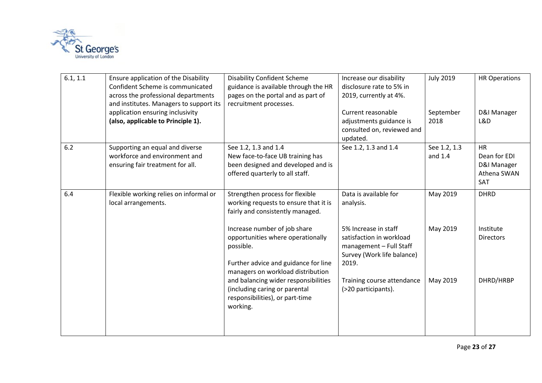

| 6.1, 1.1 | Ensure application of the Disability<br>Confident Scheme is communicated<br>across the professional departments<br>and institutes. Managers to support its<br>application ensuring inclusivity<br>(also, applicable to Principle 1). | <b>Disability Confident Scheme</b><br>guidance is available through the HR<br>pages on the portal and as part of<br>recruitment processes.                  | Increase our disability<br>disclosure rate to 5% in<br>2019, currently at 4%.<br>Current reasonable<br>adjustments guidance is<br>consulted on, reviewed and<br>updated. | <b>July 2019</b><br>September<br>2018 | <b>HR Operations</b><br>D&I Manager<br>L&D                            |
|----------|--------------------------------------------------------------------------------------------------------------------------------------------------------------------------------------------------------------------------------------|-------------------------------------------------------------------------------------------------------------------------------------------------------------|--------------------------------------------------------------------------------------------------------------------------------------------------------------------------|---------------------------------------|-----------------------------------------------------------------------|
| 6.2      | Supporting an equal and diverse<br>workforce and environment and<br>ensuring fair treatment for all.                                                                                                                                 | See 1.2, 1.3 and 1.4<br>New face-to-face UB training has<br>been designed and developed and is<br>offered quarterly to all staff.                           | See 1.2, 1.3 and 1.4                                                                                                                                                     | See 1.2, 1.3<br>and 1.4               | <b>HR</b><br>Dean for EDI<br>D&I Manager<br>Athena SWAN<br><b>SAT</b> |
| 6.4      | Flexible working relies on informal or<br>local arrangements.                                                                                                                                                                        | Strengthen process for flexible<br>working requests to ensure that it is<br>fairly and consistently managed.                                                | Data is available for<br>analysis.                                                                                                                                       | May 2019                              | <b>DHRD</b>                                                           |
|          |                                                                                                                                                                                                                                      | Increase number of job share<br>opportunities where operationally<br>possible.<br>Further advice and guidance for line<br>managers on workload distribution | 5% Increase in staff<br>satisfaction in workload<br>management - Full Staff<br>Survey (Work life balance)<br>2019.                                                       | May 2019                              | Institute<br><b>Directors</b>                                         |
|          |                                                                                                                                                                                                                                      | and balancing wider responsibilities<br>(including caring or parental<br>responsibilities), or part-time<br>working.                                        | Training course attendance<br>(>20 participants).                                                                                                                        | May 2019                              | DHRD/HRBP                                                             |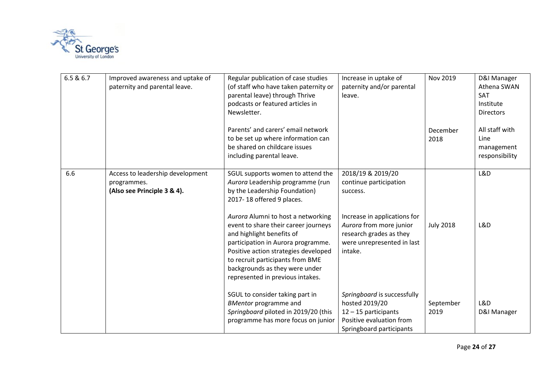

| 6.5 & 6.7 | Improved awareness and uptake of<br>paternity and parental leave.              | Regular publication of case studies<br>(of staff who have taken paternity or<br>parental leave) through Thrive<br>podcasts or featured articles in<br>Newsletter.                                                                                                                               | Increase in uptake of<br>paternity and/or parental<br>leave.                                                                  | Nov 2019          | D&I Manager<br>Athena SWAN<br>SAT<br>Institute<br><b>Directors</b> |
|-----------|--------------------------------------------------------------------------------|-------------------------------------------------------------------------------------------------------------------------------------------------------------------------------------------------------------------------------------------------------------------------------------------------|-------------------------------------------------------------------------------------------------------------------------------|-------------------|--------------------------------------------------------------------|
|           |                                                                                | Parents' and carers' email network<br>to be set up where information can<br>be shared on childcare issues<br>including parental leave.                                                                                                                                                          |                                                                                                                               | December<br>2018  | All staff with<br>Line<br>management<br>responsibility             |
| 6.6       | Access to leadership development<br>programmes.<br>(Also see Principle 3 & 4). | SGUL supports women to attend the<br>Aurora Leadership programme (run<br>by the Leadership Foundation)<br>2017-18 offered 9 places.                                                                                                                                                             | 2018/19 & 2019/20<br>continue participation<br>success.                                                                       |                   | L&D                                                                |
|           |                                                                                | Aurora Alumni to host a networking<br>event to share their career journeys<br>and highlight benefits of<br>participation in Aurora programme.<br>Positive action strategies developed<br>to recruit participants from BME<br>backgrounds as they were under<br>represented in previous intakes. | Increase in applications for<br>Aurora from more junior<br>research grades as they<br>were unrepresented in last<br>intake.   | <b>July 2018</b>  | L&D                                                                |
|           |                                                                                | SGUL to consider taking part in<br><b>BMentor programme and</b><br>Springboard piloted in 2019/20 (this<br>programme has more focus on junior                                                                                                                                                   | Springboard is successfully<br>hosted 2019/20<br>12 - 15 participants<br>Positive evaluation from<br>Springboard participants | September<br>2019 | L&D<br>D&I Manager                                                 |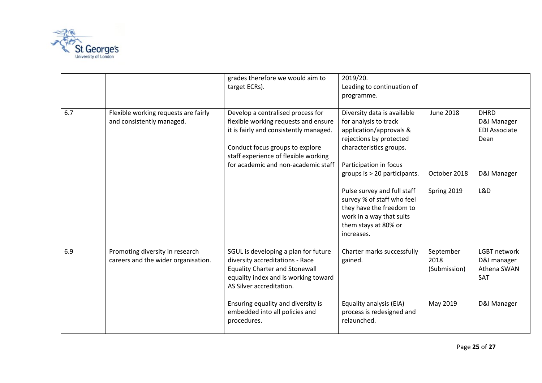

|     |                                                                        | grades therefore we would aim to<br>target ECRs).                                                                                                                                                                                     | 2019/20.<br>Leading to continuation of<br>programme.                                                                                                                                    |                                   |                                                            |
|-----|------------------------------------------------------------------------|---------------------------------------------------------------------------------------------------------------------------------------------------------------------------------------------------------------------------------------|-----------------------------------------------------------------------------------------------------------------------------------------------------------------------------------------|-----------------------------------|------------------------------------------------------------|
| 6.7 | Flexible working requests are fairly<br>and consistently managed.      | Develop a centralised process for<br>flexible working requests and ensure<br>it is fairly and consistently managed.<br>Conduct focus groups to explore<br>staff experience of flexible working<br>for academic and non-academic staff | Diversity data is available<br>for analysis to track<br>application/approvals &<br>rejections by protected<br>characteristics groups.<br>Participation in focus                         | <b>June 2018</b>                  | <b>DHRD</b><br>D&I Manager<br><b>EDI Associate</b><br>Dean |
|     |                                                                        |                                                                                                                                                                                                                                       | groups is > 20 participants.<br>Pulse survey and full staff<br>survey % of staff who feel<br>they have the freedom to<br>work in a way that suits<br>them stays at 80% or<br>increases. | October 2018<br>Spring 2019       | D&I Manager<br>L&D                                         |
| 6.9 | Promoting diversity in research<br>careers and the wider organisation. | SGUL is developing a plan for future<br>diversity accreditations - Race<br><b>Equality Charter and Stonewall</b><br>equality index and is working toward<br>AS Silver accreditation.                                                  | Charter marks successfully<br>gained.                                                                                                                                                   | September<br>2018<br>(Submission) | LGBT network<br>D&I manager<br>Athena SWAN<br>SAT          |
|     |                                                                        | Ensuring equality and diversity is<br>embedded into all policies and<br>procedures.                                                                                                                                                   | Equality analysis (EIA)<br>process is redesigned and<br>relaunched.                                                                                                                     | May 2019                          | D&I Manager                                                |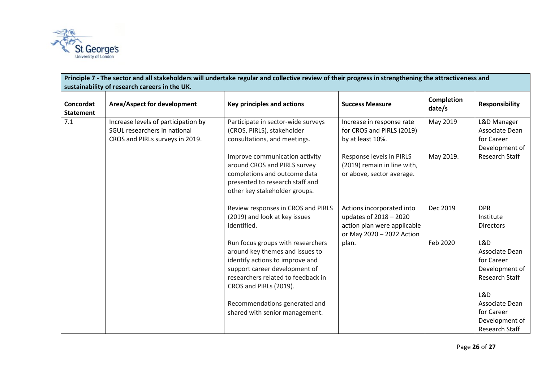

| Principle 7 - The sector and all stakeholders will undertake regular and collective review of their progress in strengthening the attractiveness and<br>sustainability of research careers in the UK. |                                                                                                        |                                                                                                                                                                                                          |                                                                                                                 |                             |                                                                         |  |  |  |  |
|-------------------------------------------------------------------------------------------------------------------------------------------------------------------------------------------------------|--------------------------------------------------------------------------------------------------------|----------------------------------------------------------------------------------------------------------------------------------------------------------------------------------------------------------|-----------------------------------------------------------------------------------------------------------------|-----------------------------|-------------------------------------------------------------------------|--|--|--|--|
| Concordat<br><b>Statement</b>                                                                                                                                                                         | Area/Aspect for development                                                                            | <b>Key principles and actions</b>                                                                                                                                                                        | <b>Success Measure</b>                                                                                          | <b>Completion</b><br>date/s | <b>Responsibility</b>                                                   |  |  |  |  |
| 7.1                                                                                                                                                                                                   | Increase levels of participation by<br>SGUL researchers in national<br>CROS and PIRLs surveys in 2019. | Participate in sector-wide surveys<br>(CROS, PIRLS), stakeholder<br>consultations, and meetings.                                                                                                         | Increase in response rate<br>for CROS and PIRLS (2019)<br>by at least 10%.                                      | May 2019                    | L&D Manager<br>Associate Dean<br>for Career<br>Development of           |  |  |  |  |
|                                                                                                                                                                                                       |                                                                                                        | Improve communication activity<br>around CROS and PIRLS survey<br>completions and outcome data<br>presented to research staff and<br>other key stakeholder groups.                                       | Response levels in PIRLS<br>(2019) remain in line with,<br>or above, sector average.                            | May 2019.                   | Research Staff                                                          |  |  |  |  |
|                                                                                                                                                                                                       |                                                                                                        | Review responses in CROS and PIRLS<br>(2019) and look at key issues<br>identified.                                                                                                                       | Actions incorporated into<br>updates of 2018 - 2020<br>action plan were applicable<br>or May 2020 - 2022 Action | Dec 2019                    | <b>DPR</b><br>Institute<br><b>Directors</b>                             |  |  |  |  |
|                                                                                                                                                                                                       |                                                                                                        | Run focus groups with researchers<br>around key themes and issues to<br>identify actions to improve and<br>support career development of<br>researchers related to feedback in<br>CROS and PIRLs (2019). | plan.                                                                                                           | Feb 2020                    | L&D<br>Associate Dean<br>for Career<br>Development of<br>Research Staff |  |  |  |  |
|                                                                                                                                                                                                       |                                                                                                        | Recommendations generated and<br>shared with senior management.                                                                                                                                          |                                                                                                                 |                             | L&D<br>Associate Dean<br>for Career<br>Development of<br>Research Staff |  |  |  |  |